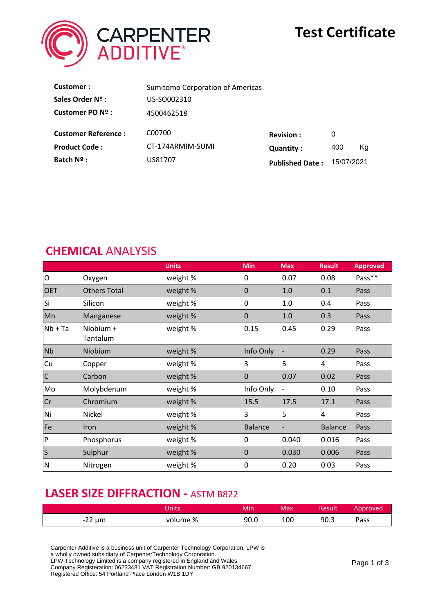

# **Test Certificate**

| Customer:                  | <b>Sumitomo Corporation of Americas</b> |                        |            |    |
|----------------------------|-----------------------------------------|------------------------|------------|----|
| Sales Order Nº :           | US-SO002310                             |                        |            |    |
| Customer PO Nº :           | 4500462518                              |                        |            |    |
| <b>Customer Reference:</b> | C00700                                  | <b>Revision:</b>       | 0          |    |
| <b>Product Code:</b>       | CT-174ARMIM-SUMI                        | <b>Quantity:</b>       | 400        | Ka |
| Batch Nº :                 | US81707                                 | <b>Published Date:</b> | 15/07/2021 |    |

## **CHEMICAL** ANALYSIS

|              |                       | <b>Units</b> | <b>Min</b>     | <b>Max</b>               | <b>Result</b>  | <b>Approved</b> |
|--------------|-----------------------|--------------|----------------|--------------------------|----------------|-----------------|
| O            | Oxygen                | weight %     | 0              | 0.07                     | 0.08           | Pass**          |
| <b>OET</b>   | <b>Others Total</b>   | weight %     | $\mathbf 0$    | 1.0                      | 0.1            | Pass            |
| Si           | Silicon               | weight %     | 0              | 1.0                      | 0.4            | Pass            |
| Mn           | Manganese             | weight %     | $\mathbf 0$    | 1.0                      | 0.3            | Pass            |
| $Nb + Ta$    | Niobium +<br>Tantalum | weight %     | 0.15           | 0.45                     | 0.29           | Pass            |
| <b>Nb</b>    | Niobium               | weight %     | Info Only      | $\overline{\phantom{a}}$ | 0.29           | Pass            |
| Cu           | Copper                | weight %     | 3              | 5                        | 4              | Pass            |
| $\mathsf{C}$ | Carbon                | weight %     | $\mathbf 0$    | 0.07                     | 0.02           | Pass            |
| Mo           | Molybdenum            | weight %     | Info Only      | $\overline{\phantom{a}}$ | 0.10           | Pass            |
| Cr           | Chromium              | weight %     | 15.5           | 17.5                     | 17.1           | Pass            |
| Ni           | Nickel                | weight %     | 3              | 5                        | 4              | Pass            |
| Fe           | Iron                  | weight %     | <b>Balance</b> |                          | <b>Balance</b> | Pass            |
| P            | Phosphorus            | weight %     | 0              | 0.040                    | 0.016          | Pass            |
| $\mathsf{S}$ | Sulphur               | weight %     | $\mathbf 0$    | 0.030                    | 0.006          | Pass            |
| $\mathsf{N}$ | Nitrogen              | weight %     | $\mathbf 0$    | 0.20                     | 0.03           | Pass            |

## **LASER SIZE DIFFRACTION -** ASTM B822

|             | Jnits    | Min  | Max | Result | Approved |
|-------------|----------|------|-----|--------|----------|
| $-22 \mu m$ | volume % | 90.0 | 100 | 90.3   | Pass     |

Carpenter Additive is a business unit of Carpenter Technology Corporation, LPW is

a wholly owned subsidiary of CarpenterTechnology Corporation.

LPW Technology Limited is a company registered in England and Wales

Company Registeration: 06233481 VAT Registration Number: GB 920134667 Registered Office: 54 Portland Place London W1B 1DY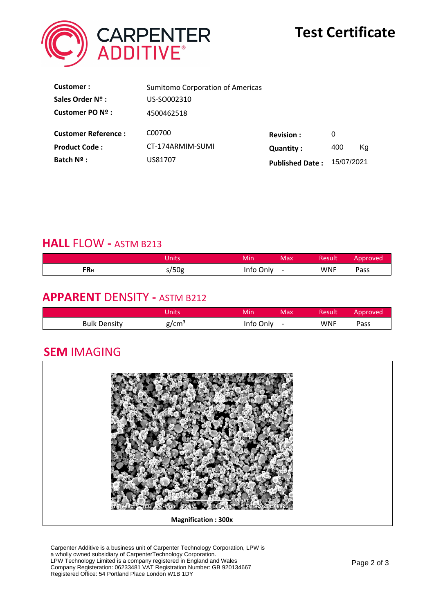

| Customer:                  | <b>Sumitomo Corporation of Americas</b> |                        |            |    |
|----------------------------|-----------------------------------------|------------------------|------------|----|
| Sales Order Nº :           | US-SO002310                             |                        |            |    |
| Customer PO Nº :           | 4500462518                              |                        |            |    |
| <b>Customer Reference:</b> | C00700                                  | <b>Revision:</b>       | 0          |    |
| <b>Product Code:</b>       | CT-174ARMIM-SUMI                        | <b>Quantity:</b>       | 400        | Ka |
| Batch Nº :                 | US81707                                 | <b>Published Date:</b> | 15/07/2021 |    |

## **HALL** FLOW **-** ASTM B213

|            | Jnits | Min       | Max                      | Result     | Approved |
|------------|-------|-----------|--------------------------|------------|----------|
| <b>FRH</b> | s/50g | info Only | $\overline{\phantom{0}}$ | <b>WNF</b> | Pass     |

## **APPARENT** DENSITY **-** ASTM B212

|                     | Inits | Mir  | Max.                     | Result     | Approved |
|---------------------|-------|------|--------------------------|------------|----------|
| <b>Bulk Density</b> | ຊ/cm° | Only | $\overline{\phantom{0}}$ | <b>WNF</b> | ass      |

## **SEM** IMAGING



Carpenter Additive is a business unit of Carpenter Technology Corporation, LPW is a wholly owned subsidiary of CarpenterTechnology Corporation. LPW Technology Limited is a company registered in England and Wales Company Registeration: 06233481 VAT Registration Number: GB 920134667 Registered Office: 54 Portland Place London W1B 1DY